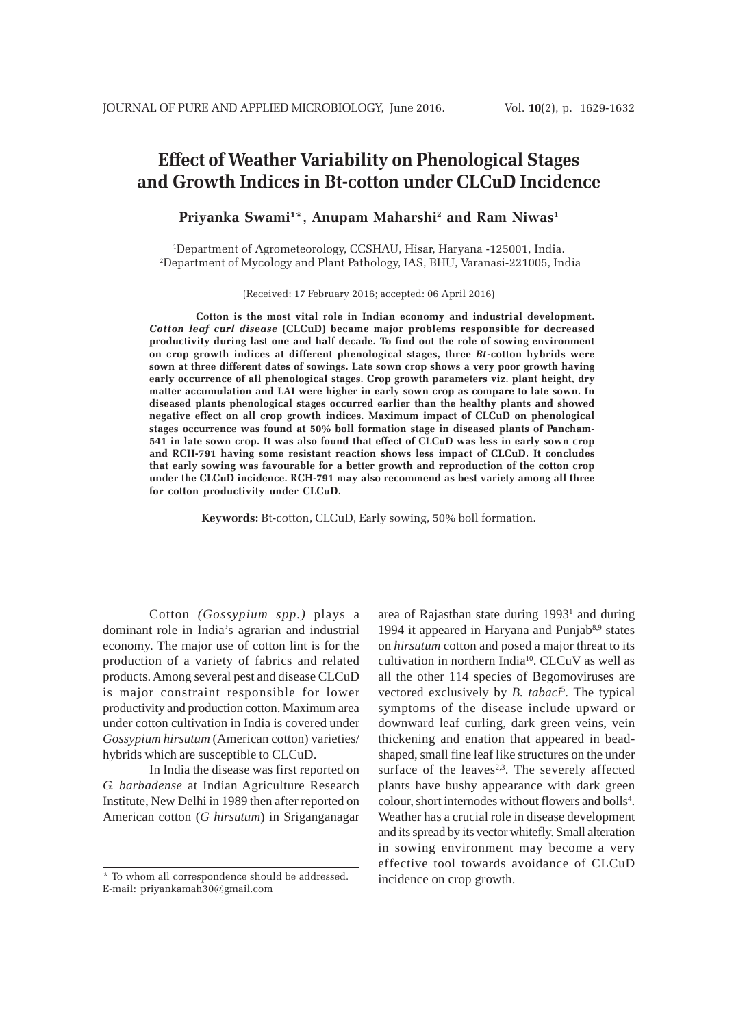# **Effect of Weather Variability on Phenological Stages and Growth Indices in Bt-cotton under CLCuD Incidence**

# **Priyanka Swami1 \*, Anupam Maharshi2 and Ram Niwas1**

1 Department of Agrometeorology, CCSHAU, Hisar, Haryana -125001, India. 2 Department of Mycology and Plant Pathology, IAS, BHU, Varanasi-221005, India

(Received: 17 February 2016; accepted: 06 April 2016)

**Cotton is the most vital role in Indian economy and industrial development.** *Cotton leaf curl disease* **(CLCuD) became major problems responsible for decreased productivity during last one and half decade. To find out the role of sowing environment on crop growth indices at different phenological stages, three** *Bt***-cotton hybrids were sown at three different dates of sowings. Late sown crop shows a very poor growth having early occurrence of all phenological stages. Crop growth parameters viz. plant height, dry matter accumulation and LAI were higher in early sown crop as compare to late sown. In diseased plants phenological stages occurred earlier than the healthy plants and showed negative effect on all crop growth indices. Maximum impact of CLCuD on phenological stages occurrence was found at 50% boll formation stage in diseased plants of Pancham-541 in late sown crop. It was also found that effect of CLCuD was less in early sown crop and RCH-791 having some resistant reaction shows less impact of CLCuD. It concludes that early sowing was favourable for a better growth and reproduction of the cotton crop under the CLCuD incidence. RCH-791 may also recommend as best variety among all three for cotton productivity under CLCuD.**

**Keywords:** Bt-cotton, CLCuD, Early sowing, 50% boll formation.

Cotton *(Gossypium spp.)* plays a dominant role in India's agrarian and industrial economy. The major use of cotton lint is for the production of a variety of fabrics and related products. Among several pest and disease CLCuD is major constraint responsible for lower productivity and production cotton. Maximum area under cotton cultivation in India is covered under *Gossypium hirsutum* (American cotton) varieties/ hybrids which are susceptible to CLCuD.

In India the disease was first reported on *G. barbadense* at Indian Agriculture Research Institute, New Delhi in 1989 then after reported on American cotton (*G hirsutum*) in Sriganganagar

area of Rajasthan state during 1993<sup>1</sup> and during 1994 it appeared in Haryana and Punjab $8,9$  states on *hirsutum* cotton and posed a major threat to its cultivation in northern India<sup>10</sup>. CLCuV as well as all the other 114 species of Begomoviruses are vectored exclusively by *B. tabaci*<sup>5</sup>. The typical symptoms of the disease include upward or downward leaf curling, dark green veins, vein thickening and enation that appeared in beadshaped, small fine leaf like structures on the under surface of the leaves<sup> $2,3$ </sup>. The severely affected plants have bushy appearance with dark green colour, short internodes without flowers and bolls<sup>4</sup>. Weather has a crucial role in disease development and its spread by its vector whitefly. Small alteration in sowing environment may become a very effective tool towards avoidance of CLCuD incidence on crop growth.

<sup>\*</sup> To whom all correspondence should be addressed. E-mail: priyankamah30@gmail.com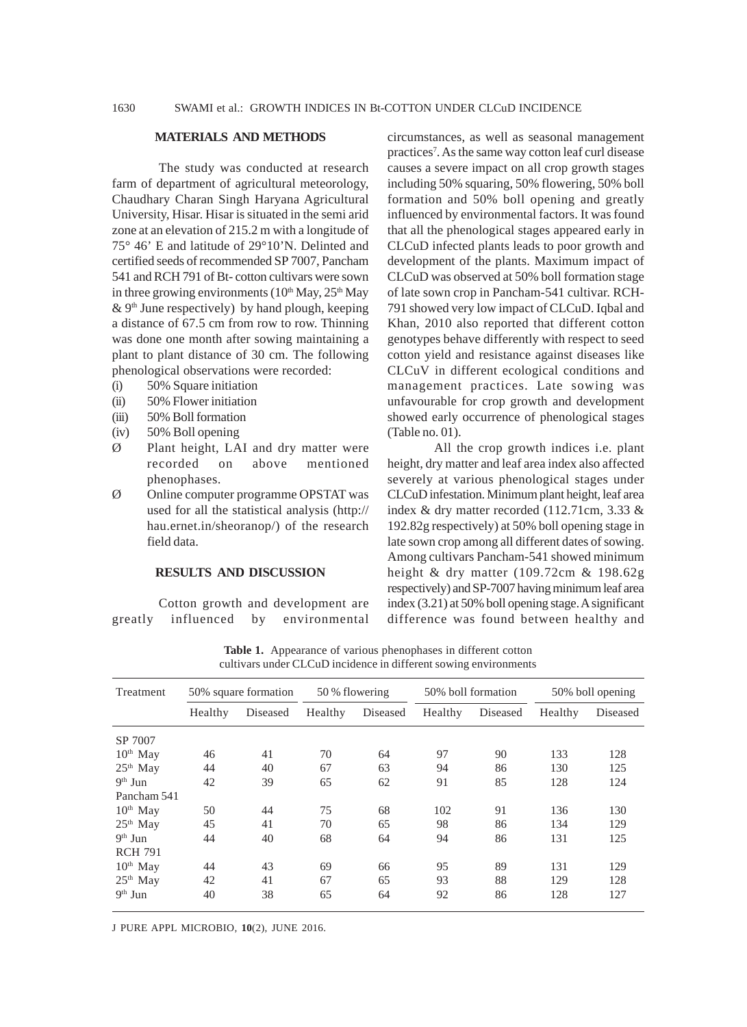### **MATERIALS AND METHODS**

The study was conducted at research farm of department of agricultural meteorology, Chaudhary Charan Singh Haryana Agricultural University, Hisar. Hisar is situated in the semi arid zone at an elevation of 215.2 m with a longitude of 75° 46' E and latitude of 29°10'N. Delinted and certified seeds of recommended SP 7007, Pancham 541 and RCH 791 of Bt- cotton cultivars were sown in three growing environments  $(10<sup>th</sup>$  May,  $25<sup>th</sup>$  May  $\&$  9<sup>th</sup> June respectively) by hand plough, keeping a distance of 67.5 cm from row to row. Thinning was done one month after sowing maintaining a plant to plant distance of 30 cm. The following phenological observations were recorded:

- (i) 50% Square initiation
- (ii) 50% Flower initiation
- (iii) 50% Boll formation
- (iv) 50% Boll opening
- Ø Plant height, LAI and dry matter were recorded on above mentioned phenophases.
- Ø Online computer programme OPSTAT was used for all the statistical analysis (http:// hau.ernet.in/sheoranop/) of the research field data.

## **RESULTS AND DISCUSSION**

Cotton growth and development are greatly influenced by environmental circumstances, as well as seasonal management practices<sup>7</sup>. As the same way cotton leaf curl disease causes a severe impact on all crop growth stages including 50% squaring, 50% flowering, 50% boll formation and 50% boll opening and greatly influenced by environmental factors. It was found that all the phenological stages appeared early in CLCuD infected plants leads to poor growth and development of the plants. Maximum impact of CLCuD was observed at 50% boll formation stage of late sown crop in Pancham-541 cultivar. RCH-791 showed very low impact of CLCuD. Iqbal and Khan, 2010 also reported that different cotton genotypes behave differently with respect to seed cotton yield and resistance against diseases like CLCuV in different ecological conditions and management practices. Late sowing was unfavourable for crop growth and development showed early occurrence of phenological stages (Table no. 01).

All the crop growth indices i.e. plant height, dry matter and leaf area index also affected severely at various phenological stages under CLCuD infestation. Minimum plant height, leaf area index & dry matter recorded (112.71cm, 3.33 & 192.82g respectively) at 50% boll opening stage in late sown crop among all different dates of sowing. Among cultivars Pancham-541 showed minimum height & dry matter (109.72cm & 198.62g respectively) and SP-7007 having minimum leaf area index (3.21) at 50% boll opening stage. A significant difference was found between healthy and

| Treatment      | 50% square formation |          | 50 % flowering |          | 50% boll formation |          | 50% boll opening |          |  |
|----------------|----------------------|----------|----------------|----------|--------------------|----------|------------------|----------|--|
|                | Healthy              | Diseased | Healthy        | Diseased | Healthy            | Diseased | Healthy          | Diseased |  |
| SP 7007        |                      |          |                |          |                    |          |                  |          |  |
| $10th$ May     | 46                   | 41       | 70             | 64       | 97                 | 90       | 133              | 128      |  |
| $25th$ May     | 44                   | 40       | 67             | 63       | 94                 | 86       | 130              | 125      |  |
| $9th$ Jun      | 42                   | 39       | 65             | 62       | 91                 | 85       | 128              | 124      |  |
| Pancham 541    |                      |          |                |          |                    |          |                  |          |  |
| $10th$ May     | 50                   | 44       | 75             | 68       | 102                | 91       | 136              | 130      |  |
| $25th$ May     | 45                   | 41       | 70             | 65       | 98                 | 86       | 134              | 129      |  |
| $9th$ Jun      | 44                   | 40       | 68             | 64       | 94                 | 86       | 131              | 125      |  |
| <b>RCH 791</b> |                      |          |                |          |                    |          |                  |          |  |
| $10th$ May     | 44                   | 43       | 69             | 66       | 95                 | 89       | 131              | 129      |  |
| $25th$ May     | 42                   | 41       | 67             | 65       | 93                 | 88       | 129              | 128      |  |
| $9th$ Jun      | 40                   | 38       | 65             | 64       | 92                 | 86       | 128              | 127      |  |

**Table 1.** Appearance of various phenophases in different cotton cultivars under CLCuD incidence in different sowing environments

J PURE APPL MICROBIO*,* **10**(2), JUNE 2016.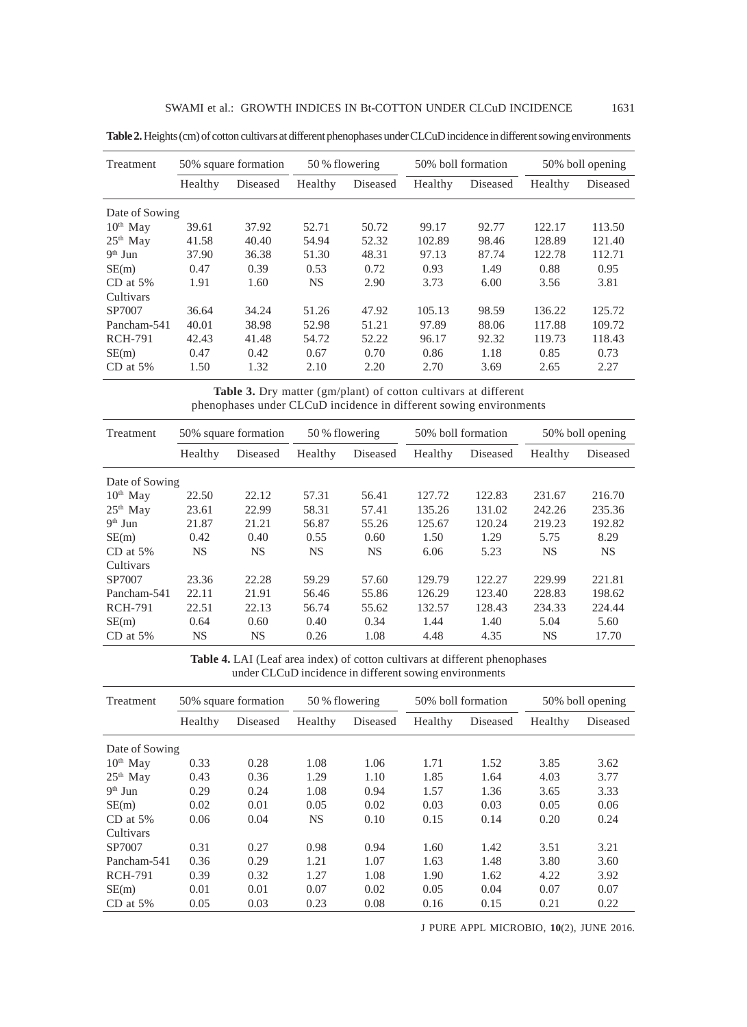| Treatment      | 50% square formation |          | 50 % flowering |          | 50% boll formation |          | 50% boll opening |          |
|----------------|----------------------|----------|----------------|----------|--------------------|----------|------------------|----------|
|                | Healthy              | Diseased | Healthy        | Diseased | Healthy            | Diseased | Healthy          | Diseased |
| Date of Sowing |                      |          |                |          |                    |          |                  |          |
| $10th$ May     | 39.61                | 37.92    | 52.71          | 50.72    | 99.17              | 92.77    | 122.17           | 113.50   |
| $25th$ May     | 41.58                | 40.40    | 54.94          | 52.32    | 102.89             | 98.46    | 128.89           | 121.40   |
| $9th$ Jun      | 37.90                | 36.38    | 51.30          | 48.31    | 97.13              | 87.74    | 122.78           | 112.71   |
| SE(m)          | 0.47                 | 0.39     | 0.53           | 0.72     | 0.93               | 1.49     | 0.88             | 0.95     |
| $CD$ at $5\%$  | 1.91                 | 1.60     | NS.            | 2.90     | 3.73               | 6.00     | 3.56             | 3.81     |
| Cultivars      |                      |          |                |          |                    |          |                  |          |
| SP7007         | 36.64                | 34.24    | 51.26          | 47.92    | 105.13             | 98.59    | 136.22           | 125.72   |
| Pancham-541    | 40.01                | 38.98    | 52.98          | 51.21    | 97.89              | 88.06    | 117.88           | 109.72   |
| <b>RCH-791</b> | 42.43                | 41.48    | 54.72          | 52.22    | 96.17              | 92.32    | 119.73           | 118.43   |
| SE(m)          | 0.47                 | 0.42     | 0.67           | 0.70     | 0.86               | 1.18     | 0.85             | 0.73     |
| $CD$ at $5%$   | 1.50                 | 1.32     | 2.10           | 2.20     | 2.70               | 3.69     | 2.65             | 2.27     |

**Table 2.** Heights (cm) of cotton cultivars at different phenophases under CLCuD incidence in different sowing environments

**Table 3.** Dry matter (gm/plant) of cotton cultivars at different phenophases under CLCuD incidence in different sowing environments

| Treatment      | 50% square formation |           | 50 % flowering |          | 50% boll formation |          | 50% boll opening |          |
|----------------|----------------------|-----------|----------------|----------|--------------------|----------|------------------|----------|
|                | Healthy              | Diseased  | Healthy        | Diseased | Healthy            | Diseased | Healthy          | Diseased |
| Date of Sowing |                      |           |                |          |                    |          |                  |          |
| $10th$ May     | 22.50                | 22.12     | 57.31          | 56.41    | 127.72             | 122.83   | 231.67           | 216.70   |
| $25th$ May     | 23.61                | 22.99     | 58.31          | 57.41    | 135.26             | 131.02   | 242.26           | 235.36   |
| $9th$ Jun      | 21.87                | 21.21     | 56.87          | 55.26    | 125.67             | 120.24   | 219.23           | 192.82   |
| SE(m)          | 0.42                 | 0.40      | 0.55           | 0.60     | 1.50               | 1.29     | 5.75             | 8.29     |
| $CD$ at 5%     | NS.                  | NS.       | NS             | NS       | 6.06               | 5.23     | NS.              | NS.      |
| Cultivars      |                      |           |                |          |                    |          |                  |          |
| SP7007         | 23.36                | 22.28     | 59.29          | 57.60    | 129.79             | 122.27   | 229.99           | 221.81   |
| Pancham-541    | 22.11                | 21.91     | 56.46          | 55.86    | 126.29             | 123.40   | 228.83           | 198.62   |
| <b>RCH-791</b> | 22.51                | 22.13     | 56.74          | 55.62    | 132.57             | 128.43   | 234.33           | 224.44   |
| SE(m)          | 0.64                 | 0.60      | 0.40           | 0.34     | 1.44               | 1.40     | 5.04             | 5.60     |
| $CD$ at $5\%$  | <b>NS</b>            | <b>NS</b> | 0.26           | 1.08     | 4.48               | 4.35     | NS               | 17.70    |

**Table 4.** LAI (Leaf area index) of cotton cultivars at different phenophases under CLCuD incidence in different sowing environments

| Treatment      | 50% square formation |          | 50 % flowering |          | 50% boll formation |          | 50% boll opening |          |
|----------------|----------------------|----------|----------------|----------|--------------------|----------|------------------|----------|
|                | Healthy              | Diseased | Healthy        | Diseased | Healthy            | Diseased | Healthy          | Diseased |
| Date of Sowing |                      |          |                |          |                    |          |                  |          |
| $10th$ May     | 0.33                 | 0.28     | 1.08           | 1.06     | 1.71               | 1.52     | 3.85             | 3.62     |
| $25th$ May     | 0.43                 | 0.36     | 1.29           | 1.10     | 1.85               | 1.64     | 4.03             | 3.77     |
| $9th$ Jun      | 0.29                 | 0.24     | 1.08           | 0.94     | 1.57               | 1.36     | 3.65             | 3.33     |
| SE(m)          | 0.02                 | 0.01     | 0.05           | 0.02     | 0.03               | 0.03     | 0.05             | 0.06     |
| $CD$ at 5%     | 0.06                 | 0.04     | <b>NS</b>      | 0.10     | 0.15               | 0.14     | 0.20             | 0.24     |
| Cultivars      |                      |          |                |          |                    |          |                  |          |
| SP7007         | 0.31                 | 0.27     | 0.98           | 0.94     | 1.60               | 1.42     | 3.51             | 3.21     |
| Pancham-541    | 0.36                 | 0.29     | 1.21           | 1.07     | 1.63               | 1.48     | 3.80             | 3.60     |
| <b>RCH-791</b> | 0.39                 | 0.32     | 1.27           | 1.08     | 1.90               | 1.62     | 4.22             | 3.92     |
| SE(m)          | 0.01                 | 0.01     | 0.07           | 0.02     | 0.05               | 0.04     | 0.07             | 0.07     |
| $CD$ at $5\%$  | 0.05                 | 0.03     | 0.23           | 0.08     | 0.16               | 0.15     | 0.21             | 0.22     |

J PURE APPL MICROBIO*,* **10**(2), JUNE 2016.